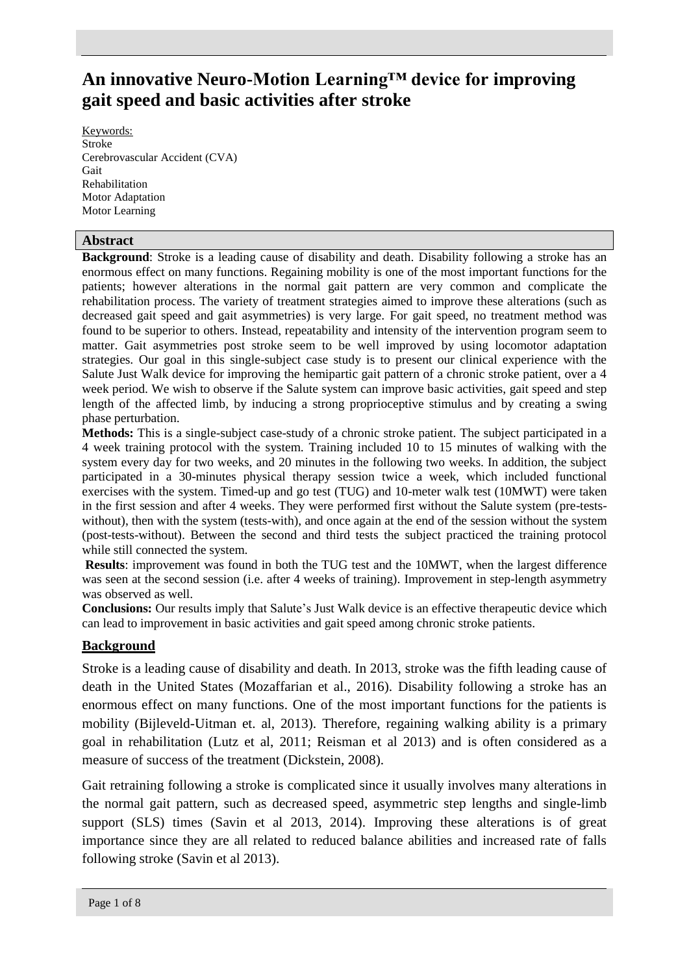# **An innovative Neuro-Motion Learning™ device for improving gait speed and basic activities after stroke**

Keywords: Stroke Cerebrovascular Accident (CVA) **Gait** Rehabilitation Motor Adaptation Motor Learning

#### **Abstract**

**Background**: Stroke is a leading cause of disability and death. Disability following a stroke has an enormous effect on many functions. Regaining mobility is one of the most important functions for the patients; however alterations in the normal gait pattern are very common and complicate the rehabilitation process. The variety of treatment strategies aimed to improve these alterations (such as decreased gait speed and gait asymmetries) is very large. For gait speed, no treatment method was found to be superior to others. Instead, repeatability and intensity of the intervention program seem to matter. Gait asymmetries post stroke seem to be well improved by using locomotor adaptation strategies. Our goal in this single-subject case study is to present our clinical experience with the Salute Just Walk device for improving the hemipartic gait pattern of a chronic stroke patient, over a 4 week period. We wish to observe if the Salute system can improve basic activities, gait speed and step length of the affected limb, by inducing a strong proprioceptive stimulus and by creating a swing phase perturbation.

**Methods:** This is a single-subject case-study of a chronic stroke patient. The subject participated in a 4 week training protocol with the system. Training included 10 to 15 minutes of walking with the system every day for two weeks, and 20 minutes in the following two weeks. In addition, the subject participated in a 30-minutes physical therapy session twice a week, which included functional exercises with the system. Timed-up and go test (TUG) and 10-meter walk test (10MWT) were taken in the first session and after 4 weeks. They were performed first without the Salute system (pre-testswithout), then with the system (tests-with), and once again at the end of the session without the system (post-tests-without). Between the second and third tests the subject practiced the training protocol while still connected the system.

**Results**: improvement was found in both the TUG test and the 10MWT, when the largest difference was seen at the second session (i.e. after 4 weeks of training). Improvement in step-length asymmetry was observed as well.

**Conclusions:** Our results imply that Salute's Just Walk device is an effective therapeutic device which can lead to improvement in basic activities and gait speed among chronic stroke patients.

### **Background**

Stroke is a leading cause of disability and death. In 2013, stroke was the fifth leading cause of death in the United States (Mozaffarian et al., 2016). Disability following a stroke has an enormous effect on many functions. One of the most important functions for the patients is mobility (Bijleveld-Uitman et. al, 2013). Therefore, regaining walking ability is a primary goal in rehabilitation (Lutz et al, 2011; Reisman et al 2013) and is often considered as a measure of success of the treatment (Dickstein, 2008).

Gait retraining following a stroke is complicated since it usually involves many alterations in the normal gait pattern, such as decreased speed, asymmetric step lengths and single-limb support (SLS) times (Savin et al 2013, 2014). Improving these alterations is of great importance since they are all related to reduced balance abilities and increased rate of falls following stroke (Savin et al 2013).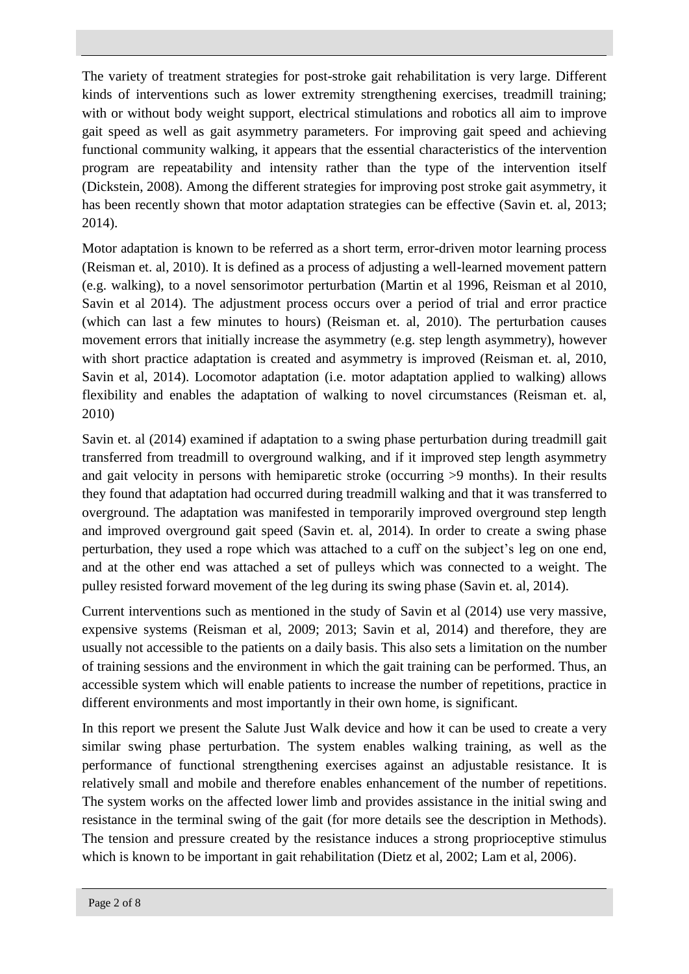The variety of treatment strategies for post-stroke gait rehabilitation is very large. Different kinds of interventions such as lower extremity strengthening exercises, treadmill training; with or without body weight support, electrical stimulations and robotics all aim to improve gait speed as well as gait asymmetry parameters. For improving gait speed and achieving functional community walking, it appears that the essential characteristics of the intervention program are repeatability and intensity rather than the type of the intervention itself (Dickstein, 2008). Among the different strategies for improving post stroke gait asymmetry, it has been recently shown that motor adaptation strategies can be effective (Savin et. al, 2013; 2014).

Motor adaptation is known to be referred as a short term, error-driven motor learning process (Reisman et. al, 2010). It is defined as a process of adjusting a well-learned movement pattern (e.g. walking), to a novel sensorimotor perturbation (Martin et al 1996, Reisman et al 2010, Savin et al 2014). The adjustment process occurs over a period of trial and error practice (which can last a few minutes to hours) (Reisman et. al, 2010). The perturbation causes movement errors that initially increase the asymmetry (e.g. step length asymmetry), however with short practice adaptation is created and asymmetry is improved (Reisman et. al, 2010, Savin et al, 2014). Locomotor adaptation (i.e. motor adaptation applied to walking) allows flexibility and enables the adaptation of walking to novel circumstances (Reisman et. al, 2010)

Savin et. al (2014) examined if adaptation to a swing phase perturbation during treadmill gait transferred from treadmill to overground walking, and if it improved step length asymmetry and gait velocity in persons with hemiparetic stroke (occurring >9 months). In their results they found that adaptation had occurred during treadmill walking and that it was transferred to overground. The adaptation was manifested in temporarily improved overground step length and improved overground gait speed (Savin et. al, 2014). In order to create a swing phase perturbation, they used a rope which was attached to a cuff on the subject's leg on one end, and at the other end was attached a set of pulleys which was connected to a weight. The pulley resisted forward movement of the leg during its swing phase (Savin et. al, 2014).

Current interventions such as mentioned in the study of Savin et al (2014) use very massive, expensive systems (Reisman et al, 2009; 2013; Savin et al, 2014) and therefore, they are usually not accessible to the patients on a daily basis. This also sets a limitation on the number of training sessions and the environment in which the gait training can be performed. Thus, an accessible system which will enable patients to increase the number of repetitions, practice in different environments and most importantly in their own home, is significant.

In this report we present the Salute Just Walk device and how it can be used to create a very similar swing phase perturbation. The system enables walking training, as well as the performance of functional strengthening exercises against an adjustable resistance. It is relatively small and mobile and therefore enables enhancement of the number of repetitions. The system works on the affected lower limb and provides assistance in the initial swing and resistance in the terminal swing of the gait (for more details see the description in Methods). The tension and pressure created by the resistance induces a strong proprioceptive stimulus which is known to be important in gait rehabilitation (Dietz et al, 2002; Lam et al, 2006).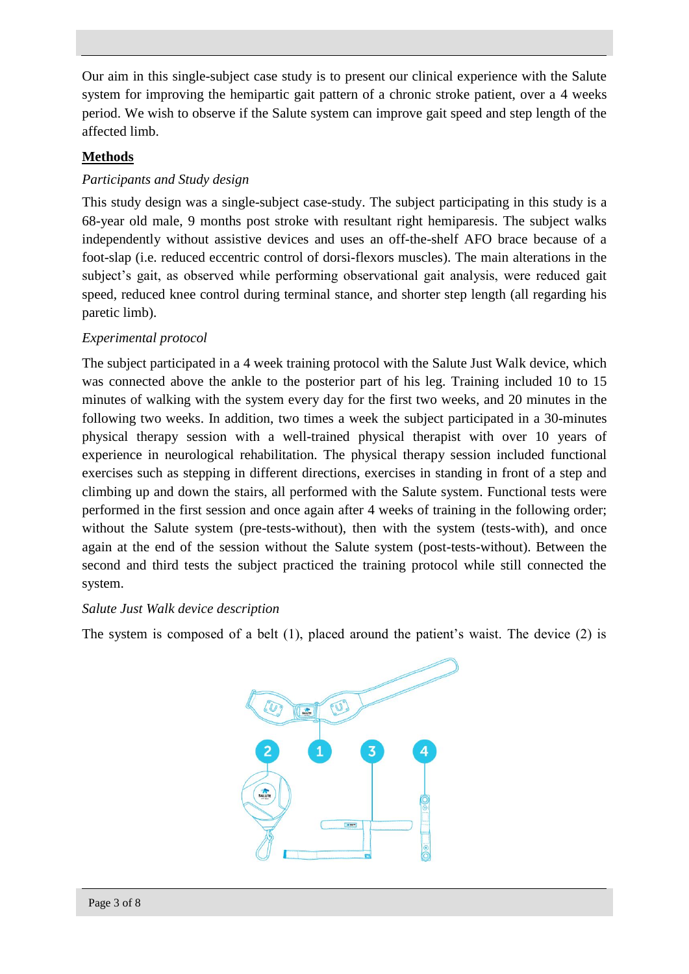Our aim in this single-subject case study is to present our clinical experience with the Salute system for improving the hemipartic gait pattern of a chronic stroke patient, over a 4 weeks period. We wish to observe if the Salute system can improve gait speed and step length of the affected limb.

## **Methods**

# *Participants and Study design*

This study design was a single-subject case-study. The subject participating in this study is a 68-year old male, 9 months post stroke with resultant right hemiparesis. The subject walks independently without assistive devices and uses an off-the-shelf AFO brace because of a foot-slap (i.e. reduced eccentric control of dorsi-flexors muscles). The main alterations in the subject's gait, as observed while performing observational gait analysis, were reduced gait speed, reduced knee control during terminal stance, and shorter step length (all regarding his paretic limb).

## *Experimental protocol*

The subject participated in a 4 week training protocol with the Salute Just Walk device, which was connected above the ankle to the posterior part of his leg. Training included 10 to 15 minutes of walking with the system every day for the first two weeks, and 20 minutes in the following two weeks. In addition, two times a week the subject participated in a 30-minutes physical therapy session with a well-trained physical therapist with over 10 years of experience in neurological rehabilitation. The physical therapy session included functional exercises such as stepping in different directions, exercises in standing in front of a step and climbing up and down the stairs, all performed with the Salute system. Functional tests were performed in the first session and once again after 4 weeks of training in the following order; without the Salute system (pre-tests-without), then with the system (tests-with), and once again at the end of the session without the Salute system (post-tests-without). Between the second and third tests the subject practiced the training protocol while still connected the system.

### *Salute Just Walk device description*

The system is composed of a belt (1), placed around the patient's waist. The device (2) is

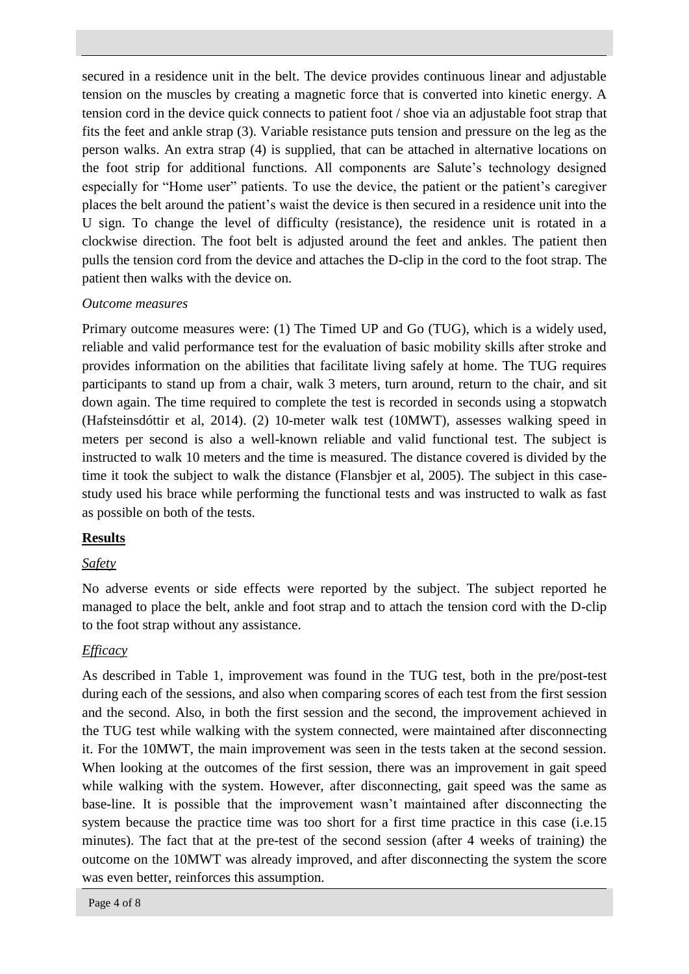secured in a residence unit in the belt. The device provides continuous linear and adjustable tension on the muscles by creating a magnetic force that is converted into kinetic energy. A tension cord in the device quick connects to patient foot / shoe via an adjustable foot strap that fits the feet and ankle strap (3). Variable resistance puts tension and pressure on the leg as the person walks. An extra strap (4) is supplied, that can be attached in alternative locations on the foot strip for additional functions. All components are Salute's technology designed especially for "Home user" patients. To use the device, the patient or the patient's caregiver places the belt around the patient's waist the device is then secured in a residence unit into the U sign. To change the level of difficulty (resistance), the residence unit is rotated in a clockwise direction. The foot belt is adjusted around the feet and ankles. The patient then pulls the tension cord from the device and attaches the D-clip in the cord to the foot strap. The patient then walks with the device on.

## *Outcome measures*

Primary outcome measures were: (1) The Timed UP and Go (TUG), which is a widely used, reliable and valid performance test for the evaluation of basic mobility skills after stroke and provides information on the abilities that facilitate living safely at home. The TUG requires participants to stand up from a chair, walk 3 meters, turn around, return to the chair, and sit down again. The time required to complete the test is recorded in seconds using a stopwatch (Hafsteinsdóttir et al, 2014). (2) 10-meter walk test (10MWT), assesses walking speed in meters per second is also a well-known reliable and valid functional test. The subject is instructed to walk 10 meters and the time is measured. The distance covered is divided by the time it took the subject to walk the distance (Flansbjer et al, 2005). The subject in this casestudy used his brace while performing the functional tests and was instructed to walk as fast as possible on both of the tests.

# **Results**

# *Safety*

No adverse events or side effects were reported by the subject. The subject reported he managed to place the belt, ankle and foot strap and to attach the tension cord with the D-clip to the foot strap without any assistance.

### *Efficacy*

As described in Table 1, improvement was found in the TUG test, both in the pre/post-test during each of the sessions, and also when comparing scores of each test from the first session and the second. Also, in both the first session and the second, the improvement achieved in the TUG test while walking with the system connected, were maintained after disconnecting it. For the 10MWT, the main improvement was seen in the tests taken at the second session. When looking at the outcomes of the first session, there was an improvement in gait speed while walking with the system. However, after disconnecting, gait speed was the same as base-line. It is possible that the improvement wasn't maintained after disconnecting the system because the practice time was too short for a first time practice in this case (i.e.15) minutes). The fact that at the pre-test of the second session (after 4 weeks of training) the outcome on the 10MWT was already improved, and after disconnecting the system the score was even better, reinforces this assumption.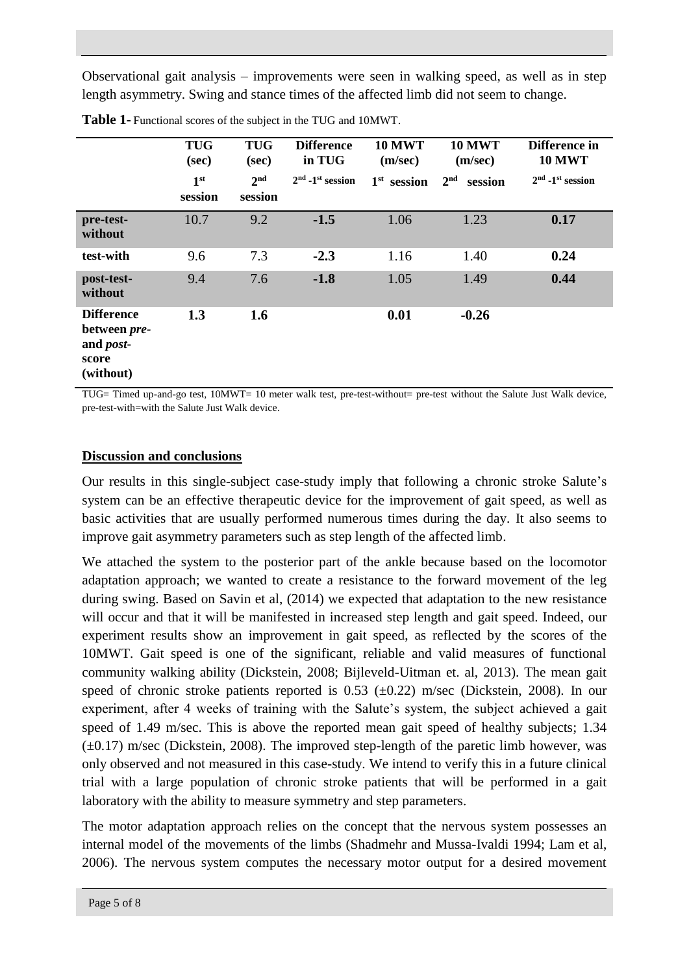Observational gait analysis – improvements were seen in walking speed, as well as in step length asymmetry. Swing and stance times of the affected limb did not seem to change.

|                                                                              | <b>TUG</b><br>(sec)<br>1 <sup>st</sup><br>session | <b>TUG</b><br>(sec)<br>2 <sup>nd</sup><br>session | <b>Difference</b><br>in TUG<br>$2nd$ -1 <sup>st</sup> session | <b>10 MWT</b><br>(m/sec)<br>$1st$ session | <b>10 MWT</b><br>(m/sec)<br>2 <sup>nd</sup><br>session | Difference in<br><b>10 MWT</b><br>$2nd$ -1 <sup>st</sup> session |
|------------------------------------------------------------------------------|---------------------------------------------------|---------------------------------------------------|---------------------------------------------------------------|-------------------------------------------|--------------------------------------------------------|------------------------------------------------------------------|
| pre-test-<br>without                                                         | 10.7                                              | 9.2                                               | $-1.5$                                                        | 1.06                                      | 1.23                                                   | 0.17                                                             |
| test-with                                                                    | 9.6                                               | 7.3                                               | $-2.3$                                                        | 1.16                                      | 1.40                                                   | 0.24                                                             |
| post-test-<br>without                                                        | 9.4                                               | 7.6                                               | $-1.8$                                                        | 1.05                                      | 1.49                                                   | 0.44                                                             |
| <b>Difference</b><br>between pre-<br>and <i>post</i> -<br>score<br>(without) | 1.3                                               | 1.6                                               |                                                               | 0.01                                      | $-0.26$                                                |                                                                  |

**Table 1-** Functional scores of the subject in the TUG and 10MWT.

TUG= Timed up-and-go test, 10MWT= 10 meter walk test, pre-test-without= pre-test without the Salute Just Walk device, pre-test-with=with the Salute Just Walk device.

#### **Discussion and conclusions**

Our results in this single-subject case-study imply that following a chronic stroke Salute's system can be an effective therapeutic device for the improvement of gait speed, as well as basic activities that are usually performed numerous times during the day. It also seems to improve gait asymmetry parameters such as step length of the affected limb.

We attached the system to the posterior part of the ankle because based on the locomotor adaptation approach; we wanted to create a resistance to the forward movement of the leg during swing. Based on Savin et al, (2014) we expected that adaptation to the new resistance will occur and that it will be manifested in increased step length and gait speed. Indeed, our experiment results show an improvement in gait speed, as reflected by the scores of the 10MWT. Gait speed is one of the significant, reliable and valid measures of functional community walking ability (Dickstein, 2008; Bijleveld-Uitman et. al, 2013). The mean gait speed of chronic stroke patients reported is  $0.53$  ( $\pm 0.22$ ) m/sec (Dickstein, 2008). In our experiment, after 4 weeks of training with the Salute's system, the subject achieved a gait speed of 1.49 m/sec. This is above the reported mean gait speed of healthy subjects; 1.34  $(\pm 0.17)$  m/sec (Dickstein, 2008). The improved step-length of the paretic limb however, was only observed and not measured in this case-study. We intend to verify this in a future clinical trial with a large population of chronic stroke patients that will be performed in a gait laboratory with the ability to measure symmetry and step parameters.

The motor adaptation approach relies on the concept that the nervous system possesses an internal model of the movements of the limbs (Shadmehr and Mussa-Ivaldi 1994; Lam et al, 2006). The nervous system computes the necessary motor output for a desired movement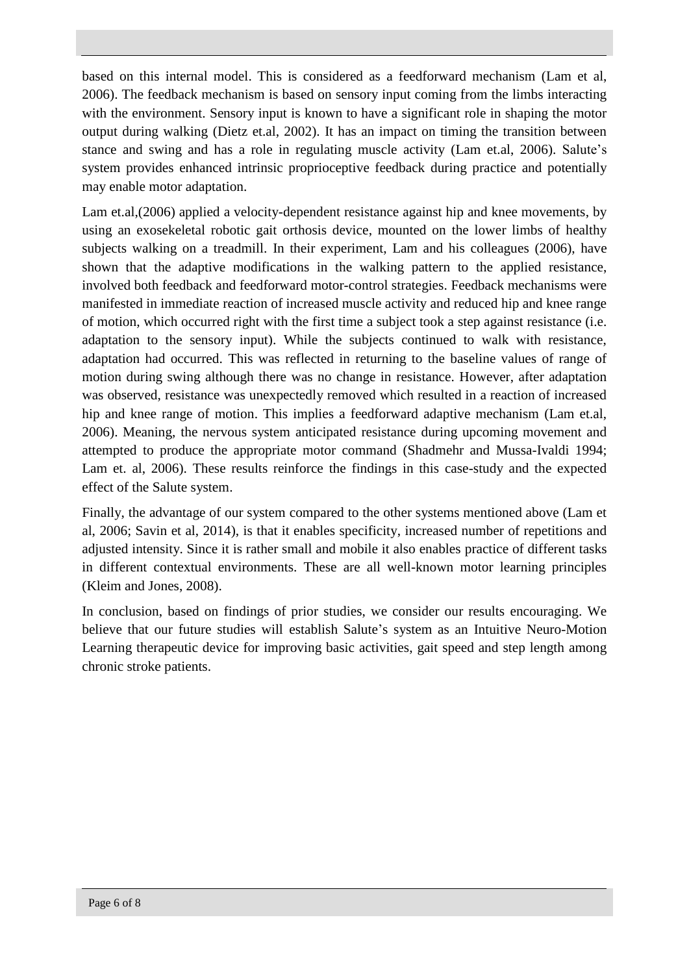based on this internal model. This is considered as a feedforward mechanism (Lam et al, 2006). The feedback mechanism is based on sensory input coming from the limbs interacting with the environment. Sensory input is known to have a significant role in shaping the motor output during walking (Dietz et.al, 2002). It has an impact on timing the transition between stance and swing and has a role in regulating muscle activity (Lam et.al, 2006). Salute's system provides enhanced intrinsic proprioceptive feedback during practice and potentially may enable motor adaptation.

Lam et.al,(2006) applied a velocity-dependent resistance against hip and knee movements, by using an exosekeletal robotic gait orthosis device, mounted on the lower limbs of healthy subjects walking on a treadmill. In their experiment, Lam and his colleagues (2006), have shown that the adaptive modifications in the walking pattern to the applied resistance, involved both feedback and feedforward motor-control strategies. Feedback mechanisms were manifested in immediate reaction of increased muscle activity and reduced hip and knee range of motion, which occurred right with the first time a subject took a step against resistance (i.e. adaptation to the sensory input). While the subjects continued to walk with resistance, adaptation had occurred. This was reflected in returning to the baseline values of range of motion during swing although there was no change in resistance. However, after adaptation was observed, resistance was unexpectedly removed which resulted in a reaction of increased hip and knee range of motion. This implies a feedforward adaptive mechanism (Lam et.al, 2006). Meaning, the nervous system anticipated resistance during upcoming movement and attempted to produce the appropriate motor command (Shadmehr and Mussa-Ivaldi 1994; Lam et. al, 2006). These results reinforce the findings in this case-study and the expected effect of the Salute system.

Finally, the advantage of our system compared to the other systems mentioned above (Lam et al, 2006; Savin et al, 2014), is that it enables specificity, increased number of repetitions and adjusted intensity. Since it is rather small and mobile it also enables practice of different tasks in different contextual environments. These are all well-known motor learning principles (Kleim and Jones, 2008).

In conclusion, based on findings of prior studies, we consider our results encouraging. We believe that our future studies will establish Salute's system as an Intuitive Neuro-Motion Learning therapeutic device for improving basic activities, gait speed and step length among chronic stroke patients.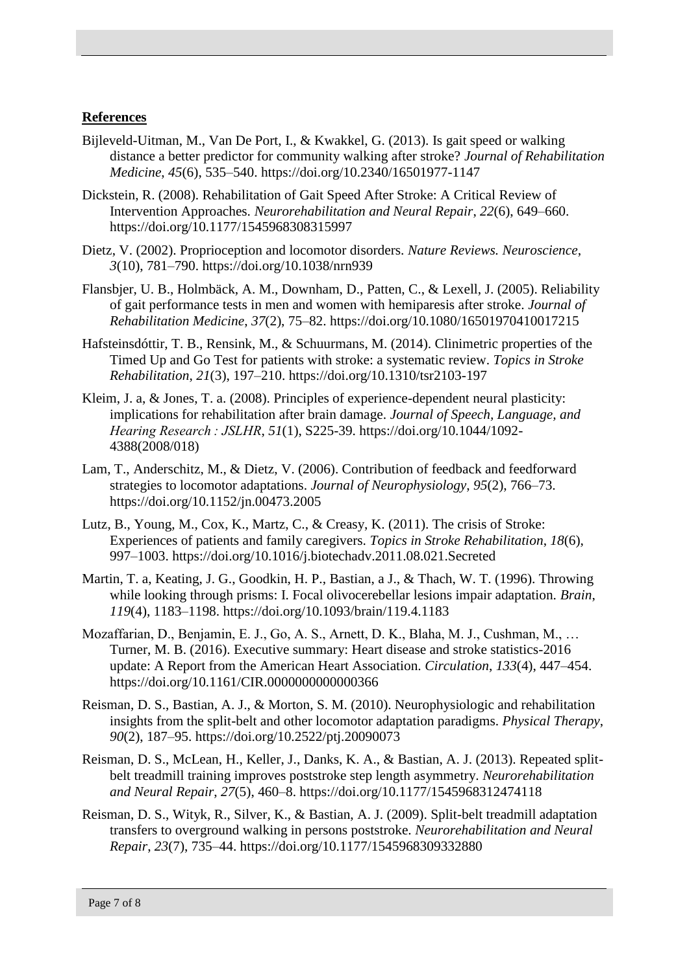#### **References**

- Bijleveld-Uitman, M., Van De Port, I., & Kwakkel, G. (2013). Is gait speed or walking distance a better predictor for community walking after stroke? *Journal of Rehabilitation Medicine*, *45*(6), 535–540. https://doi.org/10.2340/16501977-1147
- Dickstein, R. (2008). Rehabilitation of Gait Speed After Stroke: A Critical Review of Intervention Approaches. *Neurorehabilitation and Neural Repair*, *22*(6), 649–660. https://doi.org/10.1177/1545968308315997
- Dietz, V. (2002). Proprioception and locomotor disorders. *Nature Reviews. Neuroscience*, *3*(10), 781–790. https://doi.org/10.1038/nrn939
- Flansbjer, U. B., Holmbäck, A. M., Downham, D., Patten, C., & Lexell, J. (2005). Reliability of gait performance tests in men and women with hemiparesis after stroke. *Journal of Rehabilitation Medicine*, *37*(2), 75–82. https://doi.org/10.1080/16501970410017215
- Hafsteinsdóttir, T. B., Rensink, M., & Schuurmans, M. (2014). Clinimetric properties of the Timed Up and Go Test for patients with stroke: a systematic review. *Topics in Stroke Rehabilitation*, *21*(3), 197–210. https://doi.org/10.1310/tsr2103-197
- Kleim, J. a, & Jones, T. a. (2008). Principles of experience-dependent neural plasticity: implications for rehabilitation after brain damage. *Journal of Speech, Language, and Hearing Research : JSLHR*, *51*(1), S225-39. https://doi.org/10.1044/1092- 4388(2008/018)
- Lam, T., Anderschitz, M., & Dietz, V. (2006). Contribution of feedback and feedforward strategies to locomotor adaptations. *Journal of Neurophysiology*, *95*(2), 766–73. https://doi.org/10.1152/jn.00473.2005
- Lutz, B., Young, M., Cox, K., Martz, C., & Creasy, K. (2011). The crisis of Stroke: Experiences of patients and family caregivers. *Topics in Stroke Rehabilitation*, *18*(6), 997–1003. https://doi.org/10.1016/j.biotechadv.2011.08.021.Secreted
- Martin, T. a, Keating, J. G., Goodkin, H. P., Bastian, a J., & Thach, W. T. (1996). Throwing while looking through prisms: I. Focal olivocerebellar lesions impair adaptation. *Brain*, *119*(4), 1183–1198. https://doi.org/10.1093/brain/119.4.1183
- Mozaffarian, D., Benjamin, E. J., Go, A. S., Arnett, D. K., Blaha, M. J., Cushman, M., … Turner, M. B. (2016). Executive summary: Heart disease and stroke statistics-2016 update: A Report from the American Heart Association. *Circulation*, *133*(4), 447–454. https://doi.org/10.1161/CIR.0000000000000366
- Reisman, D. S., Bastian, A. J., & Morton, S. M. (2010). Neurophysiologic and rehabilitation insights from the split-belt and other locomotor adaptation paradigms. *Physical Therapy*, *90*(2), 187–95. https://doi.org/10.2522/ptj.20090073
- Reisman, D. S., McLean, H., Keller, J., Danks, K. A., & Bastian, A. J. (2013). Repeated splitbelt treadmill training improves poststroke step length asymmetry. *Neurorehabilitation and Neural Repair*, *27*(5), 460–8. https://doi.org/10.1177/1545968312474118
- Reisman, D. S., Wityk, R., Silver, K., & Bastian, A. J. (2009). Split-belt treadmill adaptation transfers to overground walking in persons poststroke. *Neurorehabilitation and Neural Repair*, *23*(7), 735–44. https://doi.org/10.1177/1545968309332880